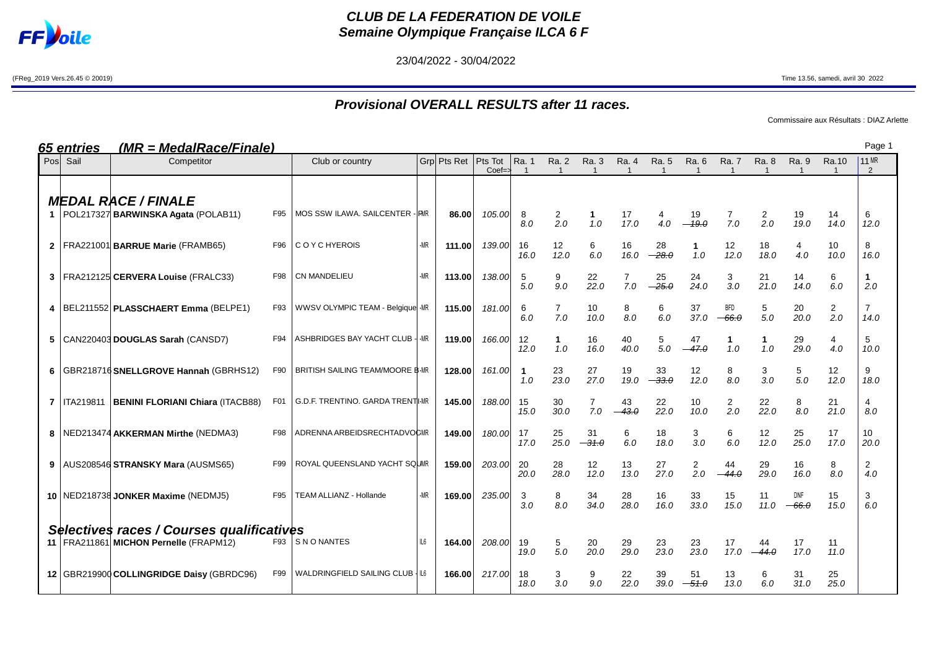

## **CLUB DE LA FEDERATION DE VOILE Semaine Olympique Française ILCA 6 F**

23/04/2022 - 30/04/2022

(FReg\_2019 Vers.26.45 © 20019) Time 13.56, samedi, avril 30 2022

# **Provisional OVERALL RESULTS after 11 races.**

Commissaire aux Résultats : DIAZ Arlette

| <u>65 entries</u> | <u>(MR = MedalRace/Finale)</u>                                        |     |                                         |     |             |                               |                       |                       |                                  |                       |                       |                       |                       |                       |                         |                         | Page 1             |  |
|-------------------|-----------------------------------------------------------------------|-----|-----------------------------------------|-----|-------------|-------------------------------|-----------------------|-----------------------|----------------------------------|-----------------------|-----------------------|-----------------------|-----------------------|-----------------------|-------------------------|-------------------------|--------------------|--|
| Pos Sail          | Competitor                                                            |     | Club or country                         |     | Grp Pts Ret | Pts Tot<br>$Coef \Rightarrow$ | Ra. 1<br>$\mathbf{1}$ | <b>Ra. 2</b>          | Ra. 3<br>$\overline{\mathbf{1}}$ | Ra. 4<br>$\mathbf{1}$ | Ra. 5<br>$\mathbf{1}$ | Ra. 6                 | Ra. 7                 | Ra. 8<br>$\mathbf{1}$ | Ra. 9<br>$\overline{1}$ | Ra.10<br>$\overline{1}$ | <b>11 MR</b><br>2  |  |
|                   | <b>MEDAL RACE / FINALE</b><br>1   POL217327 BARWINSKA Agata (POLAB11) | F95 | MOS SSW ILAWA. SAILCENTER - RMR         |     | 86.00       | 105.00                        | 8<br>8.0              | $\overline{2}$<br>2.0 | $\mathbf 1$<br>1.0               | 17<br>17.0            | 4.0                   | 19<br>$-19.0$         | 7<br>7.0              | 2<br>2.0              | 19<br>19.0              | 14<br>14.0              | 6<br>12.0          |  |
|                   | 2   FRA221001 BARRUE Marie (FRAMB65)                                  | F96 | C O Y C HYEROIS                         | -MR | 111.00      | 139.00                        | 16<br>16.0            | 12<br>12.0            | 6<br>6.0                         | 16<br>16.0            | 28<br>$-28.0$         | 1<br>1.0              | 12<br>12.0            | 18<br>18.0            | 4<br>4.0                | 10<br>10.0              | 8<br>16.0          |  |
|                   | 3   FRA212125 CERVERA Louise (FRALC33)                                | F98 | <b>CN MANDELIEU</b>                     | -MR | 113.00      | 138.00                        | 5<br>5.0              | 9<br>9.0              | 22<br>22.0                       | 7.0                   | 25<br>$-25.0$         | 24<br>24.0            | 3<br>3.0              | 21<br>21.0            | 14<br>14.0              | 6<br>6.0                | $\mathbf 1$<br>2.0 |  |
|                   | 4   BEL211552   PLASSCHAERT Emma (BELPE1)                             | F93 | WWSV OLYMPIC TEAM - Belgique -MR        |     | 115.00      | 181.00                        | 6<br>6.0              | $\overline{7}$<br>7.0 | 10<br>10.0                       | 8<br>8.0              | 6<br>6.0              | 37<br>37.0            | BFD<br>$-66.0$        | 5<br>5.0              | 20<br>20.0              | 2<br>2.0                | 14.0               |  |
|                   | 5   CAN220403 DOUGLAS Sarah (CANSD7)                                  | F94 | ASHBRIDGES BAY YACHT CLUB - - MR        |     | 119.00      | 166.00                        | 12<br>12.0            | 1<br>1.0              | 16<br>16.0                       | 40<br>40.0            | 5<br>5.0              | 47<br>$-47.0$         | 1<br>1.0              | 1.0                   | 29<br>29.0              | 4<br>4.0                | 5<br>10.0          |  |
|                   | 6   GBR218716 SNELLGROVE Hannah (GBRHS12)                             | F90 | <b>BRITISH SAILING TEAM/MOORE B-MR</b>  |     | 128.00      | 161.00                        | -1<br>1.0             | 23<br>23.0            | 27<br>27.0                       | 19<br>19.0            | 33<br>$-33.0$         | 12<br>12.0            | 8<br>8.0              | 3<br>3.0              | 5<br>5.0                | 12<br>12.0              | 9<br>18.0          |  |
| 7   ITA219811     | <b>BENINI FLORIANI Chiara (ITACB88)</b>                               | F01 | <b>G.D.F. TRENTINO. GARDA TRENTI-MR</b> |     | 145.00      | 188.00                        | 15<br>15.0            | 30<br>30.0            | $\overline{7}$<br>7.0            | 43<br>$-43.0$         | 22<br>22.0            | 10<br>10.0            | $\overline{2}$<br>2.0 | 22<br>22.0            | 8<br>8.0                | 21<br>21.0              | 4<br>8.0           |  |
|                   | 8   NED213474 AKKERMAN Mirthe (NEDMA3)                                | F98 | ADRENNA ARBEIDSRECHTADVOCMR             |     | 149.00      | 180.00                        | 17<br>17.0            | 25<br>25.0            | 31<br>$-31.0$                    | 6<br>6.0              | 18<br>18.0            | 3<br>3.0              | 6<br>6.0              | 12<br>12.0            | 25<br>25.0              | 17<br>17.0              | 10<br>20.0         |  |
|                   | 9 AUS208546 STRANSKY Mara (AUSMS65)                                   | F99 | ROYAL QUEENSLAND YACHT SQUMR            |     | 159.00      | 203.00                        | 20<br>20.0            | 28<br>28.0            | 12<br>12.0                       | 13<br>13.0            | 27<br>27.0            | $\overline{c}$<br>2.0 | 44<br>$-44.0$         | 29<br>29.0            | 16<br>16.0              | 8<br>8.0                | 2<br>4.0           |  |
|                   | 10   NED218738 JONKER Maxime (NEDMJ5)                                 | F95 | TEAM ALLIANZ - Hollande                 | -MR | 169.00      | 235.00                        | 3<br>3.0              | 8<br>8.0              | 34<br>34.0                       | 28<br>28.0            | 16<br>16.0            | 33<br>33.0            | 15<br>15.0            | 11<br>11.0            | DNF<br>$-66.0$          | 15<br>15.0              | 3<br>6.0           |  |
|                   | Selectives races / Courses qualificatives                             |     |                                         |     |             |                               |                       |                       |                                  |                       |                       |                       |                       |                       |                         |                         |                    |  |
|                   | 11   FRA211861 MICHON Pernelle (FRAPM12)                              |     | F93 SNONANTES                           | IL6 | 164.00      | 208.00                        | 19<br>19.0            | 5<br>5.0              | 20<br>20.0                       | 29<br>29.0            | 23<br>23.0            | 23<br>23.0            | 17<br>17.0            | 44<br>$-44.0$         | 17<br>17.0              | 11<br>11.0              |                    |  |
|                   | 12 GBR219900 COLLINGRIDGE Daisy (GBRDC96)                             | F99 | WALDRINGFIELD SAILING CLUB   IL6        |     | 166.00      | 217.00                        | 18<br>18.0            | 3<br>3.0              | 9<br>9.0                         | 22<br>22.0            | 39<br>39.0            | 51<br>$-51.0$         | 13<br>13.0            | 6<br>6.0              | 31<br>31.0              | 25<br>25.0              |                    |  |

Page 1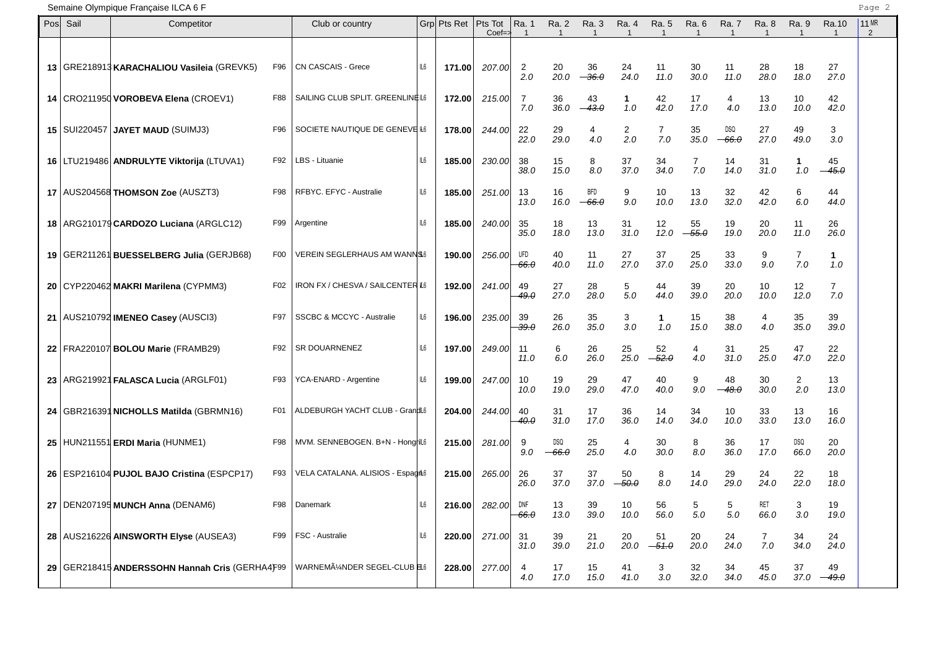| Posl | Sail | Competitor                                       |                 | Club or country                                      |     | Grp Pts Ret | Pts Tot<br>$Coef = z$ | Ra. 1                  | Ra. 2                 | Ra. 3          | Ra. 4       | Ra. 5<br>-1   | Ra. 6         | Ra. 7                 | Ra. 8                 | Ra. 9<br>-1           | Ra.10<br>$\mathbf{1}$ | <b>11 MR</b><br>2 |
|------|------|--------------------------------------------------|-----------------|------------------------------------------------------|-----|-------------|-----------------------|------------------------|-----------------------|----------------|-------------|---------------|---------------|-----------------------|-----------------------|-----------------------|-----------------------|-------------------|
|      |      | 13 GRE218913 KARACHALIOU Vasileia (GREVK5)       | F96             | CN CASCAIS - Grece                                   | IL6 | 171.00      | 207.00                | 2<br>2.0               | 20<br>20.0            | 36<br>$-36.0$  | 24<br>24.0  | 11<br>11.0    | 30<br>30.0    | 11<br>11.0            | 28<br>28.0            | 18<br>18.0            | 27<br>27.0            |                   |
|      |      | 14 CRO211950 VOROBEVA Elena (CROEV1)             | F88             | SAILING CLUB SPLIT. GREENLINEIL6                     |     | 172.00      | 215.00                | 7<br>7.0               | 36<br>36.0            | 43<br>43.0     | 1<br>1.0    | 42<br>42.0    | 17<br>17.0    | 4<br>4.0              | 13<br>13.0            | 10<br>10.0            | 42<br>42.0            |                   |
|      |      | 15   SUI220457   JAYET MAUD (SUIMJ3)             | F96             | SOCIETE NAUTIQUE DE GENEVE H6                        |     | 178.00      | 244.00                | 22<br>22.0             | 29<br>29.0            | 4<br>4.0       | 2<br>2.0    | 7<br>7.0      | 35<br>35.0    | <b>DSQ</b><br>$-66.0$ | 27<br>27.0            | 49<br>49.0            | 3<br>3.0              |                   |
|      |      | 16   LTU219486   ANDRULYTE Viktorija (LTUVA1)    | F92             | LBS - Lituanie                                       | IL6 | 185.00      | 230.00                | 38<br>38.0             | 15<br>15.0            | 8<br>8.0       | 37<br>37.0  | 34<br>34.0    | 7<br>7.0      | 14<br>14.0            | 31<br>31.0            | 1<br>1.0              | 45<br>45.0            |                   |
|      |      | 17   AUS204568 THOMSON Zoe (AUSZT3)              | F98             | RFBYC. EFYC - Australie                              | IL6 | 185.00      | 251.00                | 13<br>13.0             | 16<br>16.0            | BFD<br>$-66.0$ | 9<br>9.0    | 10<br>10.0    | 13<br>13.0    | 32<br>32.0            | 42<br>42.0            | 6<br>6.0              | 44<br>44.0            |                   |
|      |      | 18   ARG210179 CARDOZO Luciana (ARGLC12)         | F99             | Argentine                                            | IL6 | 185.00      | 240.00                | 35<br>35.0             | 18<br>18.0            | 13<br>13.0     | 31<br>31.0  | 12<br>12.0    | 55<br>$-55.0$ | 19<br>19.0            | 20<br>20.0            | 11<br>11.0            | 26<br>26.0            |                   |
|      |      | 19 GER211261 BUESSELBERG Julia (GERJB68)         | F <sub>0</sub>  | <b>VEREIN SEGLERHAUS AM WANNS6</b>                   |     | 190.00      | 256.00                | UFD<br><del>66.0</del> | 40<br>40.0            | 11<br>11.0     | 27<br>27.0  | 37<br>37.0    | 25<br>25.0    | 33<br>33.0            | 9<br>9.0              | $\overline{7}$<br>7.0 | 1.<br>1.0             |                   |
|      |      | 20 CYP220462 MAKRI Marilena (CYPMM3)             | F <sub>02</sub> | IRON FX / CHESVA / SAILCENTER IL6                    |     | 192.00      | 241.00                | 49<br>49.0             | 27<br>27.0            | 28<br>28.0     | 5<br>5.0    | 44<br>44.0    | 39<br>39.0    | 20<br>20.0            | 10<br>10.0            | 12<br>12.0            | $\overline{7}$<br>7.0 |                   |
|      |      | 21   AUS210792 IMENEO Casey (AUSCI3)             | F97             | <b>SSCBC &amp; MCCYC - Australie</b>                 | IL6 | 196.00      | 235.00                | 39<br><del>39.0</del>  | 26<br>26.0            | 35<br>35.0     | 3<br>3.0    | 1<br>1.0      | 15<br>15.0    | 38<br>38.0            | 4<br>4.0              | 35<br>35.0            | 39<br>39.0            |                   |
|      |      | 22 FRA220107 BOLOU Marie (FRAMB29)               | F92             | SR DOUARNENEZ                                        | IL6 | 197.00      | 249.00                | 11<br>11.0             | 6<br>6.0              | 26<br>26.0     | 25<br>25.0  | 52<br>$-52.0$ | 4<br>4.0      | 31<br>31.0            | 25<br>25.0            | 47<br>47.0            | 22<br>22.0            |                   |
|      |      | 23 ARG219921 FALASCA Lucia (ARGLF01)             | F93             | YCA-ENARD - Argentine                                | IL6 | 199.00      | 247.00                | 10<br>10.0             | 19<br>19.0            | 29<br>29.0     | 47<br>47.0  | 40<br>40.0    | 9<br>9.0      | 48<br>$-48.0$         | 30<br>30.0            | $\overline{2}$<br>2.0 | 13<br>13.0            |                   |
|      |      | 24   GBR216391 NICHOLLS Matilda (GBRMN16)        | F <sub>01</sub> | ALDEBURGH YACHT CLUB - GrandL6                       |     | 204.00      | 244.00                | 40<br>40.0             | 31<br>31.0            | 17<br>17.0     | 36<br>36.0  | 14<br>14.0    | 34<br>34.0    | 10<br>10.0            | 33<br>33.0            | 13<br>13.0            | 16<br>16.0            |                   |
|      |      | 25 HUN211551 ERDI Maria (HUNME1)                 | F98             | MVM. SENNEBOGEN. B+N - Hongrill6                     |     | 215.00      | 281.00                | 9<br>9.0               | <b>DSQ</b><br>$-66.0$ | 25<br>25.0     | 4<br>4.0    | 30<br>30.0    | 8<br>8.0      | 36<br>36.0            | 17<br>17.0            | <b>DSQ</b><br>66.0    | 20<br>20.0            |                   |
|      |      | 26   ESP216104 PUJOL BAJO Cristina (ESPCP17)     | F93             | VELA CATALANA. ALISIOS - Espagiti6                   |     | 215.00      | 265.00                | 26<br>26.0             | 37<br>37.0            | 37<br>37.0     | 50<br>-50.0 | 8<br>8.0      | 14<br>14.0    | 29<br>29.0            | 24<br>24.0            | 22<br>22.0            | 18<br>18.0            |                   |
|      |      | 27   DEN207195 MUNCH Anna (DENAM6)               | F98             | Danemark                                             | IL6 | 216.00      | 282.00                | DNF<br>66.0            | 13<br>13.0            | 39<br>39.0     | 10<br>10.0  | 56<br>56.0    | 5<br>5.0      | 5<br>5.0              | <b>RET</b><br>66.0    | 3<br>3.0              | 19<br>19.0            |                   |
|      |      | 28 AUS216226 AINSWORTH Elyse (AUSEA3)            | F99             | FSC - Australie                                      | IL6 | 220.00      | 271.00                | 31<br>31.0             | 39<br>39.0            | 21<br>21.0     | 20<br>20.0  | 51<br>$-51.0$ | 20<br>20.0    | 24<br>24.0            | $\overline{7}$<br>7.0 | 34<br>34.0            | 24<br>24.0            |                   |
|      |      | 29   GER218415 ANDERSSOHN Hannah Cris (GERHA4F99 |                 | WARNEMA <sup>14</sup> NDER SEGEL-CLUB <sup>EL6</sup> |     | 228.00      | 277.00                | 4<br>4.0               | 17<br>17.0            | 15<br>15.0     | 41<br>41.0  | 3<br>3.0      | 32<br>32.0    | 34<br>34.0            | 45<br>45.0            | 37<br>37.0            | 49<br>$-49.0$         |                   |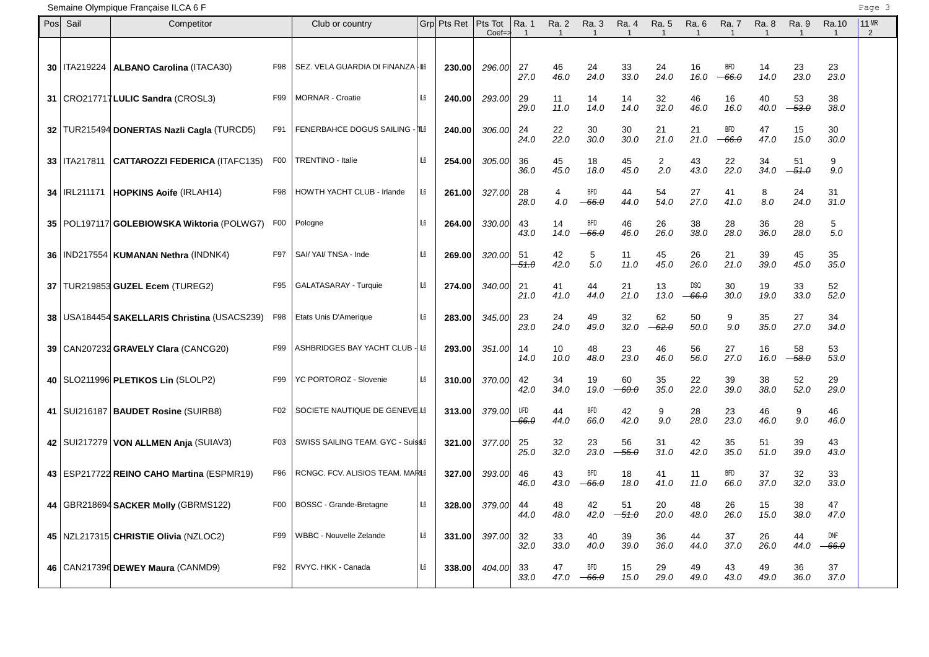| Posl | Sail           | Competitor                                     |                 | Club or country                   |     | Grp Pts Ret | Pts Tot<br>$Coef = z$ | Ra. 1                 | Ra. 2<br>$\mathbf 1$ | Ra. 3<br>$\mathbf 1$  | Ra. 4         | Ra. 5<br>$\overline{1}$ | Ra. 6          | Ra. 7<br>$\mathbf{1}$ | Ra. 8<br>$\mathbf 1$ | Ra. 9<br>$\overline{1}$ | Ra.10<br>$\mathbf{1}$ | <b>11 MR</b><br>2 |
|------|----------------|------------------------------------------------|-----------------|-----------------------------------|-----|-------------|-----------------------|-----------------------|----------------------|-----------------------|---------------|-------------------------|----------------|-----------------------|----------------------|-------------------------|-----------------------|-------------------|
|      |                | 30   ITA219224   ALBANO Carolina (ITACA30)     | F98             | SEZ. VELA GUARDIA DI FINANZA -IL6 |     | 230.00      | 296.00                | 27<br>27.0            | 46<br>46.0           | 24<br>24.0            | 33<br>33.0    | 24<br>24.0              | 16<br>16.0     | <b>BFD</b><br>$-66.0$ | 14<br>14.0           | 23<br>23.0              | 23<br>23.0            |                   |
|      |                | 31   CRO217717 LULIC Sandra (CROSL3)           | F99             | <b>MORNAR - Croatie</b>           | IL6 | 240.00      | 293.00                | 29<br>29.0            | 11<br>11.0           | 14<br>14.0            | 14<br>14.0    | 32<br>32.0              | 46<br>46.0     | 16<br>16.0            | 40<br>40.0           | 53<br>$-53.0$           | 38<br>38.0            |                   |
|      |                | 32 TUR215494 DONERTAS Nazli Cagla (TURCD5)     | F91             | FENERBAHCE DOGUS SAILING - TL6    |     | 240.00      | 306.00                | 24<br>24.0            | 22<br>22.0           | 30<br>30.0            | 30<br>30.0    | 21<br>21.0              | 21<br>21.0     | <b>BFD</b><br>-66.0   | 47<br>47.0           | 15<br>15.0              | 30<br>30.0            |                   |
|      | 33   ITA217811 | <b>CATTAROZZI FEDERICA (ITAFC135)</b>          | F00             | <b>TRENTINO - Italie</b>          | IL6 | 254.00      | 305.00                | 36<br>36.0            | 45<br>45.0           | 18<br>18.0            | 45<br>45.0    | 2<br>2.0                | 43<br>43.0     | 22<br>22.0            | 34<br>34.0           | 51<br>$-51.0$           | 9<br>9.0              |                   |
|      |                | 34   IRL211171   HOPKINS Aoife (IRLAH14)       | F98             | HOWTH YACHT CLUB - Irlande        | IL6 | 261.00      | 327.00                | 28<br>28.0            | 4<br>4.0             | <b>BFD</b><br>$-66.0$ | 44<br>44.0    | 54<br>54.0              | 27<br>27.0     | 41<br>41.0            | 8<br>8.0             | 24<br>24.0              | 31<br>31.0            |                   |
|      |                | 35   POL197117 GOLEBIOWSKA Wiktoria (POLWG7)   | F00             | Pologne                           | IL6 | 264.00      | 330.00                | 43<br>43.0            | 14<br>14.0           | BFD<br>$-66.0$        | 46<br>46.0    | 26<br>26.0              | 38<br>38.0     | 28<br>28.0            | 36<br>36.0           | 28<br>28.0              | 5<br>5.0              |                   |
|      |                | 36   IND217554   KUMANAN Nethra (INDNK4)       | F97             | SAI/YAI/TNSA - Inde               | IL6 | 269.00      | 320.00                | 51<br><del>51.0</del> | 42<br>42.0           | 5<br>5.0              | 11<br>11.0    | 45<br>45.0              | 26<br>26.0     | 21<br>21.0            | 39<br>39.0           | 45<br>45.0              | 35<br>35.0            |                   |
|      |                | 37   TUR219853 GUZEL Ecem (TUREG2)             | F95             | GALATASARAY - Turquie             | IL6 | 274.00      | 340.00                | 21<br>21.0            | 41<br>41.0           | 44<br>44.0            | 21<br>21.0    | 13<br>13.0              | DSQ<br>$-66.0$ | 30<br>30.0            | 19<br>19.0           | 33<br>33.0              | 52<br>52.0            |                   |
|      |                | 38   USA184454 SAKELLARIS Christina (USACS239) | F98             | Etats Unis D'Amerique             | IL6 | 283.00      | 345.00                | 23<br>23.0            | 24<br>24.0           | 49<br>49.0            | 32<br>32.0    | 62<br>$-62.0$           | 50<br>50.0     | 9<br>9.0              | 35<br>35.0           | 27<br>27.0              | 34<br>34.0            |                   |
|      |                | 39   CAN207232 GRAVELY Clara (CANCG20)         | F99             | ASHBRIDGES BAY YACHT CLUB - IL6   |     | 293.00      | 351.00                | 14<br>14.0            | 10<br>10.0           | 48<br>48.0            | 23<br>23.0    | 46<br>46.0              | 56<br>56.0     | 27<br>27.0            | 16<br>16.0           | 58<br>$-58.0$           | 53<br>53.0            |                   |
|      |                | 40   SLO211996   PLETIKOS Lin (SLOLP2)         | F99             | YC PORTOROZ - Slovenie            | IL6 | 310.00      | 370.00                | 42<br>42.0            | 34<br>34.0           | 19<br>19.0            | 60<br>$-60.0$ | 35<br>35.0              | 22<br>22.0     | 39<br>39.0            | 38<br>38.0           | 52<br>52.0              | 29<br>29.0            |                   |
|      |                | 41   SUI216187   BAUDET Rosine (SUIRB8)        | F02             | SOCIETE NAUTIQUE DE GENEVE.IL6    |     | 313.00      | 379.00                | UFD<br>66.0           | 44<br>44.0           | BFD<br>66.0           | 42<br>42.0    | 9<br>9.0                | 28<br>28.0     | 23<br>23.0            | 46<br>46.0           | 9<br>9.0                | 46<br>46.0            |                   |
|      |                | 42   SUI217279   VON ALLMEN Anja (SUIAV3)      | F <sub>03</sub> | SWISS SAILING TEAM. GYC - Suissi6 |     | 321.00      | 377.00                | 25<br>25.0            | 32<br>32.0           | 23<br>23.0            | 56<br>$-56.0$ | 31<br>31.0              | 42<br>42.0     | 35<br>35.0            | 51<br>51.0           | 39<br>39.0              | 43<br>43.0            |                   |
|      |                | 43   ESP217722 REINO CAHO Martina (ESPMR19)    | F96             | RCNGC. FCV. ALISIOS TEAM. MARIL6  |     | 327.00      | 393.00                | 46<br>46.0            | 43<br>43.0           | <b>BFD</b><br>$-66.0$ | 18<br>18.0    | 41<br>41.0              | 11<br>11.0     | BFD<br>66.0           | 37<br>37.0           | 32<br>32.0              | 33<br>33.0            |                   |
|      |                | 44   GBR218694 SACKER Molly (GBRMS122)         | F <sub>0</sub>  | <b>BOSSC - Grande-Bretagne</b>    | IL6 | 328.00      | 379.00                | 44<br>44.0            | 48<br>48.0           | 42<br>42.0            | 51<br>$-51.0$ | 20<br>20.0              | 48<br>48.0     | 26<br>26.0            | 15<br>15.0           | 38<br>38.0              | 47<br>47.0            |                   |
|      |                | 45   NZL217315   CHRISTIE Olivia (NZLOC2)      | F99             | WBBC - Nouvelle Zelande           | IL6 | 331.00      | 397.00                | 32<br>32.0            | 33<br>33.0           | 40<br>40.0            | 39<br>39.0    | 36<br>36.0              | 44<br>44.0     | 37<br>37.0            | 26<br>26.0           | 44<br>44.0              | DNF<br>$-66.0$        |                   |
|      |                | 46   CAN217396 DEWEY Maura (CANMD9)            | F92             | RVYC. HKK - Canada                | IL6 | 338.00      | 404.00                | 33<br>33.0            | 47<br>47.0           | <b>BFD</b><br>$-66.0$ | 15<br>15.0    | 29<br>29.0              | 49<br>49.0     | 43<br>43.0            | 49<br>49.0           | 36<br>36.0              | 37<br>37.0            |                   |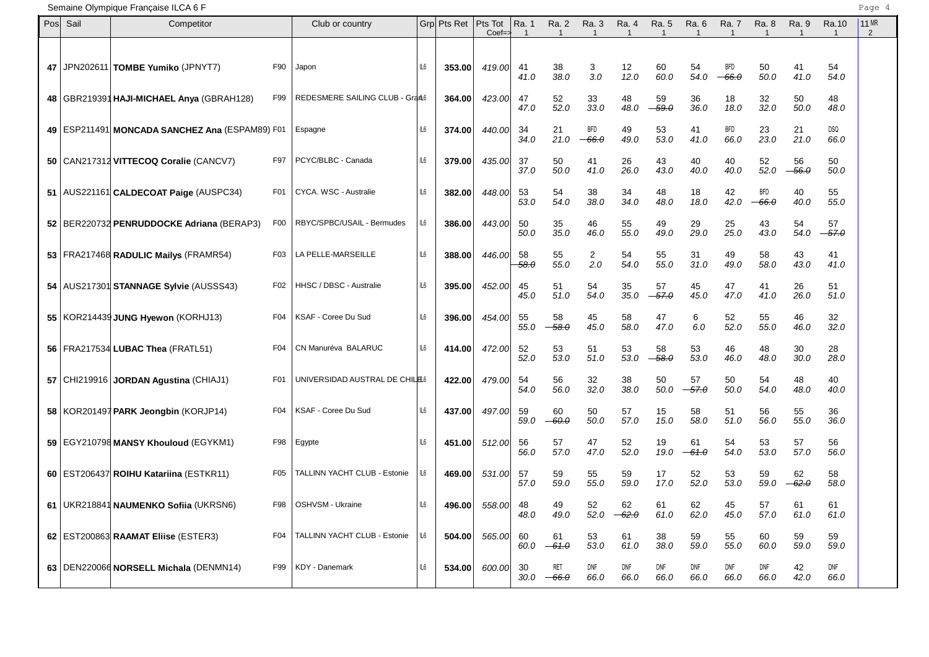| Posl | Sail | Competitor                                         |                  | Club or country                 |     | Grp Pts Ret | Pts Tot<br>$Coef = z$ | Ra. 1       | Ra. 2<br>$\mathbf{1}$ | Ra. 3<br>$\overline{\mathbf{1}}$ | Ra. 4<br>$\mathbf 1$ | Ra. 5<br>$\overline{1}$ | Ra. 6              | Ra. 7                 | Ra. 8                 | Ra. 9         | Ra.10              | 11 MR<br>2 |
|------|------|----------------------------------------------------|------------------|---------------------------------|-----|-------------|-----------------------|-------------|-----------------------|----------------------------------|----------------------|-------------------------|--------------------|-----------------------|-----------------------|---------------|--------------------|------------|
| 47   |      | JPN202611 TOMBE Yumiko (JPNYT7)                    | F90              | Japon                           | IL6 | 353.00      | 419.00                | -41<br>41.0 | 38<br>38.0            | 3<br>3.0                         | 12<br>12.0           | 60<br>60.0              | 54<br>54.0         | <b>BFD</b><br>$-66.0$ | 50<br>50.0            | 41<br>41.0    | 54<br>54.0         |            |
|      |      | 48   GBR219391 HAJI-MICHAEL Anya (GBRAH128)        | F99              | REDESMERE SAILING CLUB - Grant6 |     | 364.00      | 423.00                | 47<br>47.0  | 52<br>52.0            | 33<br>33.0                       | 48<br>48.0           | 59<br>$-59.0$           | 36<br>36.0         | 18<br>18.0            | 32<br>32.0            | 50<br>50.0    | 48<br>48.0         |            |
|      |      | 49   ESP211491   MONCADA SANCHEZ Ana (ESPAM89) F01 |                  | Espagne                         | IL6 | 374.00      | 440.00                | 34<br>34.0  | 21<br>21.0            | <b>BFD</b><br>$-66.0$            | 49<br>49.0           | 53<br>53.0              | 41<br>41.0         | BFD<br>66.0           | 23<br>23.0            | 21<br>21.0    | DSQ<br>66.0        |            |
|      |      | 50   CAN217312 VITTECOQ Coralie (CANCV7)           | F97              | PCYC/BLBC - Canada              | IL6 | 379.00      | 435.00                | 37<br>37.0  | 50<br>50.0            | 41<br>41.0                       | 26<br>26.0           | 43<br>43.0              | 40<br>40.0         | 40<br>40.0            | 52<br>52.0            | 56<br>$-56.0$ | 50<br>50.0         |            |
|      |      | 51   AUS221161   CALDECOAT Paige (AUSPC34)         | F <sub>0</sub> 1 | CYCA. WSC - Australie           | IL6 | 382.00      | 448.00                | 53<br>53.0  | 54<br>54.0            | 38<br>38.0                       | 34<br>34.0           | 48<br>48.0              | 18<br>18.0         | 42<br>42.0            | <b>BFD</b><br>$-66.0$ | 40<br>40.0    | 55<br>55.0         |            |
|      |      | 52   BER220732 PENRUDDOCKE Adriana (BERAP3)        | F <sub>0</sub>   | RBYC/SPBC/USAIL - Bermudes      | IL6 | 386.00      | 443.00                | 50<br>50.0  | 35<br>35.0            | 46<br>46.0                       | 55<br>55.0           | 49<br>49.0              | 29<br>29.0         | 25<br>25.0            | 43<br>43.0            | 54<br>54.0    | 57<br>$-57.0$      |            |
|      |      | 53   FRA217468 RADULIC Mailys (FRAMR54)            | F03              | LA PELLE-MARSEILLE              | IL6 | 388.00      | 446.00                | 58<br>58.0  | 55<br>55.0            | 2<br>2.0                         | 54<br>54.0           | 55<br>55.0              | 31<br>31.0         | 49<br>49.0            | 58<br>58.0            | 43<br>43.0    | 41<br>41.0         |            |
|      |      | 54   AUS217301 STANNAGE Sylvie (AUSSS43)           | F02              | HHSC / DBSC - Australie         | IL6 | 395.00      | 452.00                | 45<br>45.0  | 51<br>51.0            | 54<br>54.0                       | 35<br>35.0           | 57<br>$-57.0$           | 45<br>45.0         | 47<br>47.0            | 41<br>41.0            | 26<br>26.0    | 51<br>51.0         |            |
|      |      | 55   KOR214439 JUNG Hyewon (KORHJ13)               | F04              | KSAF - Coree Du Sud             | IL6 | 396.00      | 454.00                | 55<br>55.0  | 58<br>$-58.0$         | 45<br>45.0                       | 58<br>58.0           | 47<br>47.0              | 6<br>6.0           | 52<br>52.0            | 55<br>55.0            | 46<br>46.0    | 32<br>32.0         |            |
|      |      | 56   FRA217534 LUBAC Thea (FRATL51)                | F <sub>04</sub>  | CN Manuréva BALARUC             | IL6 | 414.00      | 472.00                | 52<br>52.0  | 53<br>53.0            | 51<br>51.0                       | 53<br>53.0           | 58<br>$-58.0$           | 53<br>53.0         | 46<br>46.0            | 48<br>48.0            | 30<br>30.0    | 28<br>28.0         |            |
|      |      | 57   CHI219916   JORDAN Agustina (CHIAJ1)          | F01              | UNIVERSIDAD AUSTRAL DE CHILEL6  |     | 422.00      | 479.00                | 54<br>54.0  | 56<br>56.0            | 32<br>32.0                       | 38<br>38.0           | 50<br>50.0              | 57<br>$-57.0$      | 50<br>50.0            | 54<br>54.0            | 48<br>48.0    | 40<br>40.0         |            |
|      |      | 58 KOR201497 PARK Jeongbin (KORJP14)               | F04              | KSAF - Coree Du Sud             | IL6 | 437.00      | 497.00                | 59<br>59.0  | 60<br>$-60.0$         | 50<br>50.0                       | 57<br>57.0           | 15<br>15.0              | 58<br>58.0         | 51<br>51.0            | 56<br>56.0            | 55<br>55.0    | 36<br>36.0         |            |
|      |      | 59 EGY210798 MANSY Khouloud (EGYKM1)               | F98              | Egypte                          | IL6 | 451.00      | 512.00                | 56<br>56.0  | 57<br>57.0            | 47<br>47.0                       | 52<br>52.0           | 19<br>19.0              | 61<br>$-61.0$      | 54<br>54.0            | 53<br>53.0            | 57<br>57.0    | 56<br>56.0         |            |
|      |      | 60   EST206437 ROIHU Katariina (ESTKR11)           | F <sub>05</sub>  | TALLINN YACHT CLUB - Estonie    | IL6 | 469.00      | 531.00                | 57<br>57.0  | 59<br>59.0            | 55<br>55.0                       | 59<br>59.0           | 17<br>17.0              | 52<br>52.0         | 53<br>53.0            | 59<br>59.0            | 62<br>$-62.0$ | 58<br>58.0         |            |
|      |      | 61   UKR218841 NAUMENKO Sofiia (UKRSN6)            | F98              | OSHVSM - Ukraine                | IL6 | 496.00      | 558.00                | 48<br>48.0  | 49<br>49.0            | 52<br>52.0                       | 62<br>-62.0          | 61<br>61.0              | 62<br>62.0         | 45<br>45.0            | 57<br>57.0            | 61<br>61.0    | 61<br>61.0         |            |
|      |      | 62   EST200863 RAAMAT Eliise (ESTER3)              | F <sub>04</sub>  | TALLINN YACHT CLUB - Estonie    | IL6 | 504.00      | 565.00                | 60<br>60.0  | 61<br>$-61.0$         | 53<br>53.0                       | 61<br>61.0           | 38<br>38.0              | 59<br>59.0         | 55<br>55.0            | 60<br>60.0            | 59<br>59.0    | 59<br>59.0         |            |
|      |      | 63   DEN220066 NORSELL Michala (DENMN14)           | F99              | <b>KDY - Danemark</b>           | IL6 | 534.00      | 600.00                | 30<br>30.0  | <b>RET</b><br>$-66.0$ | <b>DNF</b><br>66.0               | <b>DNF</b><br>66.0   | DNF<br>66.0             | <b>DNF</b><br>66.0 | <b>DNF</b><br>66.0    | DNF<br>66.0           | 42<br>42.0    | <b>DNF</b><br>66.0 |            |